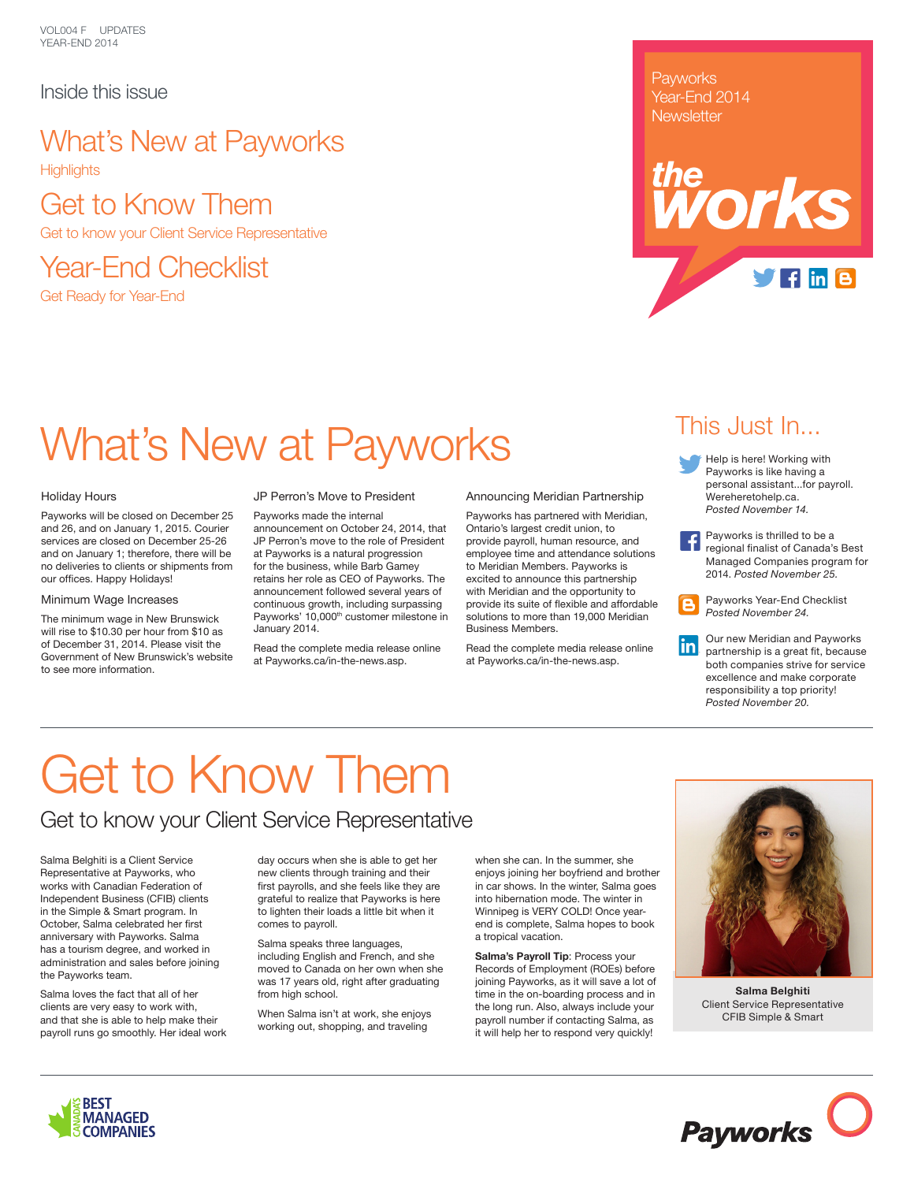VOL004 F UPDATES YEAR-END 2014

### Inside this issue

## What's New at Payworks **Highlights**

Get to Know Them Get to know your Client Service Representative

Year-End Checklist Get Ready for Year-End

### **Payworks** Year-End 2014 **Newsletter**



# What's New at Payworks

#### Holiday Hours

Payworks will be closed on December 25 and 26, and on January 1, 2015. Courier services are closed on December 25-26 and on January 1; therefore, there will be no deliveries to clients or shipments from our offices. Happy Holidays!

#### Minimum Wage Increases

The minimum wage in New Brunswick will rise to \$10.30 per hour from \$10 as of December 31, 2014. Please visit the Government of New Brunswick's website to see more information.

#### JP Perron's Move to President

Payworks made the internal announcement on October 24, 2014, that JP Perron's move to the role of President at Payworks is a natural progression for the business, while Barb Gamey retains her role as CEO of Payworks. The announcement followed several years of continuous growth, including surpassing Payworks' 10,000<sup>th</sup> customer milestone in January 2014.

Read the complete media release online at Payworks.ca/in-the-news.asp.

Announcing Meridian Partnership

Payworks has partnered with Meridian, Ontario's largest credit union, to provide payroll, human resource, and employee time and attendance solutions to Meridian Members. Payworks is excited to announce this partnership with Meridian and the opportunity to provide its suite of flexible and affordable solutions to more than 19,000 Meridian Business Members.

Read the complete media release online at Payworks.ca/in-the-news.asp.

## This Just In...

- Help is here! Working with Payworks is like having a personal assistant...for payroll. Wereheretohelp.ca. *Posted November 14.*
- Payworks is thrilled to be a regional finalist of Canada's Best Managed Companies program for 2014. *Posted November 25.*

Payworks Year-End Checklist А *Posted November 24.*

Our new Meridian and Payworks inl partnership is a great fit, because both companies strive for service excellence and make corporate responsibility a top priority! *Posted November 20.*

# Get to Know Them

## Get to know your Client Service Representative

Salma Belghiti is a Client Service Representative at Payworks, who works with Canadian Federation of Independent Business (CFIB) clients in the Simple & Smart program. In October, Salma celebrated her first anniversary with Payworks. Salma has a tourism degree, and worked in administration and sales before joining the Payworks team.

Salma loves the fact that all of her clients are very easy to work with, and that she is able to help make their payroll runs go smoothly. Her ideal work day occurs when she is able to get her new clients through training and their first payrolls, and she feels like they are grateful to realize that Payworks is here to lighten their loads a little bit when it comes to payroll.

Salma speaks three languages, including English and French, and she moved to Canada on her own when she was 17 years old, right after graduating from high school.

When Salma isn't at work, she enjoys working out, shopping, and traveling

when she can. In the summer, she enjoys joining her boyfriend and brother in car shows. In the winter, Salma goes into hibernation mode. The winter in Winnipeg is VERY COLD! Once yearend is complete, Salma hopes to book a tropical vacation.

**Salma's Payroll Tip**: Process your Records of Employment (ROEs) before joining Payworks, as it will save a lot of time in the on-boarding process and in the long run. Also, always include your payroll number if contacting Salma, as it will help her to respond very quickly!



**Salma Belghiti** Client Service Representative CFIB Simple & Smart